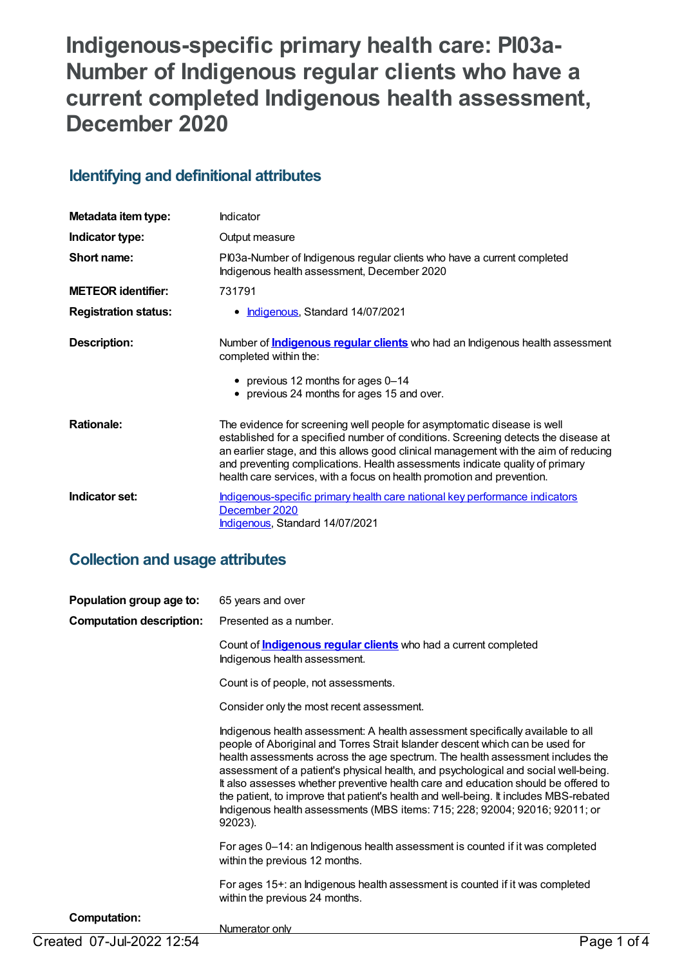# **Indigenous-specific primary health care: PI03a-Number of Indigenous regular clients who have a current completed Indigenous health assessment, December 2020**

# **Identifying and definitional attributes**

| Metadata item type:         | Indicator                                                                                                                                                                                                                                                                                                                                                                                                      |
|-----------------------------|----------------------------------------------------------------------------------------------------------------------------------------------------------------------------------------------------------------------------------------------------------------------------------------------------------------------------------------------------------------------------------------------------------------|
| Indicator type:             | Output measure                                                                                                                                                                                                                                                                                                                                                                                                 |
| Short name:                 | PI03a-Number of Indigenous regular clients who have a current completed<br>Indigenous health assessment, December 2020                                                                                                                                                                                                                                                                                         |
| <b>METEOR identifier:</b>   | 731791                                                                                                                                                                                                                                                                                                                                                                                                         |
| <b>Registration status:</b> | • <b>Indigenous</b> , Standard 14/07/2021                                                                                                                                                                                                                                                                                                                                                                      |
| <b>Description:</b>         | Number of <b>Indigenous regular clients</b> who had an Indigenous health assessment<br>completed within the:                                                                                                                                                                                                                                                                                                   |
|                             | • previous 12 months for ages 0-14<br>• previous 24 months for ages 15 and over.                                                                                                                                                                                                                                                                                                                               |
| <b>Rationale:</b>           | The evidence for screening well people for asymptomatic disease is well<br>established for a specified number of conditions. Screening detects the disease at<br>an earlier stage, and this allows good clinical management with the aim of reducing<br>and preventing complications. Health assessments indicate quality of primary<br>health care services, with a focus on health promotion and prevention. |
| Indicator set:              | Indigenous-specific primary health care national key performance indicators<br>December 2020<br><b>Indigenous, Standard 14/07/2021</b>                                                                                                                                                                                                                                                                         |

# **Collection and usage attributes**

| Population group age to:        | 65 years and over                                                                                                                                                                                                                                                                                                                                                                                                                                                                                                                                                                                                  |
|---------------------------------|--------------------------------------------------------------------------------------------------------------------------------------------------------------------------------------------------------------------------------------------------------------------------------------------------------------------------------------------------------------------------------------------------------------------------------------------------------------------------------------------------------------------------------------------------------------------------------------------------------------------|
| <b>Computation description:</b> | Presented as a number.                                                                                                                                                                                                                                                                                                                                                                                                                                                                                                                                                                                             |
|                                 | Count of <b>Indigenous regular clients</b> who had a current completed<br>Indigenous health assessment.                                                                                                                                                                                                                                                                                                                                                                                                                                                                                                            |
|                                 | Count is of people, not assessments.                                                                                                                                                                                                                                                                                                                                                                                                                                                                                                                                                                               |
|                                 | Consider only the most recent assessment.                                                                                                                                                                                                                                                                                                                                                                                                                                                                                                                                                                          |
|                                 | Indigenous health assessment: A health assessment specifically available to all<br>people of Aboriginal and Torres Strait Islander descent which can be used for<br>health assessments across the age spectrum. The health assessment includes the<br>assessment of a patient's physical health, and psychological and social well-being.<br>It also assesses whether preventive health care and education should be offered to<br>the patient, to improve that patient's health and well-being. It includes MBS-rebated<br>Indigenous health assessments (MBS items: 715; 228; 92004; 92016; 92011; or<br>92023). |
|                                 | For ages 0-14: an Indigenous health assessment is counted if it was completed<br>within the previous 12 months.                                                                                                                                                                                                                                                                                                                                                                                                                                                                                                    |
|                                 | For ages 15+: an Indigenous health assessment is counted if it was completed<br>within the previous 24 months.                                                                                                                                                                                                                                                                                                                                                                                                                                                                                                     |
| <b>Computation:</b>             | Numerator only                                                                                                                                                                                                                                                                                                                                                                                                                                                                                                                                                                                                     |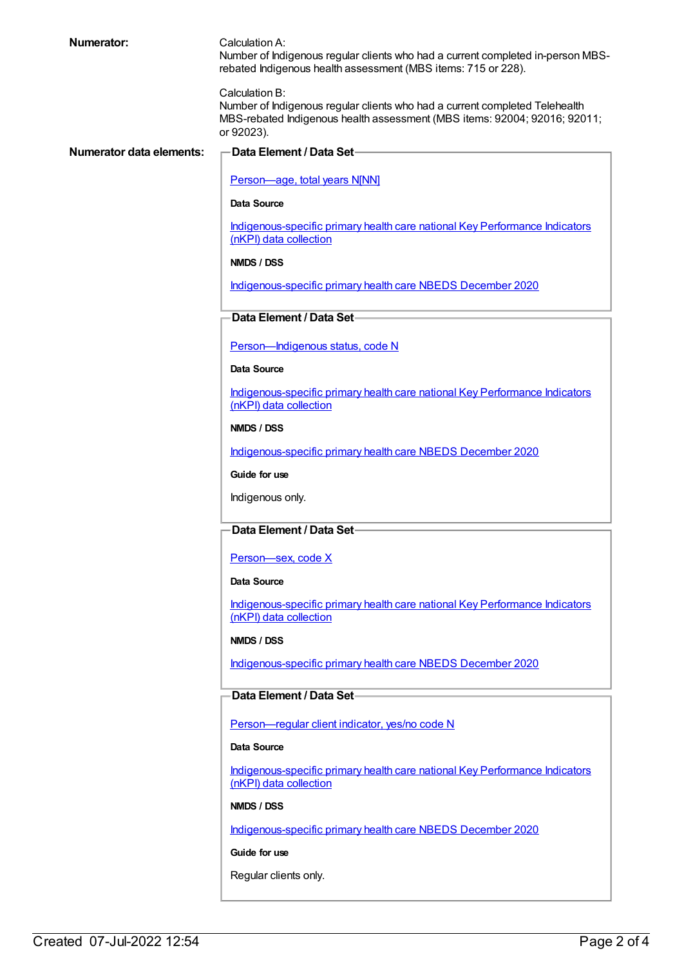#### **Numerator:** Calculation A:

Number of Indigenous regular clients who had a current completed in-person MBSrebated Indigenous health assessment (MBS items: 715 or 228).

Calculation B:

Number of Indigenous regular clients who had a current completed Telehealth MBS-rebated Indigenous health assessment (MBS items: 92004; 92016; 92011; or 92023).

#### **Numerator data elements: Data Element / Data Set**

[Person—age,](https://meteor.aihw.gov.au/content/303794) total years N[NN]

**Data Source**

[Indigenous-specific](https://meteor.aihw.gov.au/content/737914) primary health care national Key Performance Indicators (nKPI) data collection

**NMDS / DSS**

[Indigenous-specific](https://meteor.aihw.gov.au/content/738532) primary health care NBEDS December 2020

### **Data Element / Data Set**

[Person—Indigenous](https://meteor.aihw.gov.au/content/602543) status, code N

**Data Source**

[Indigenous-specific](https://meteor.aihw.gov.au/content/737914) primary health care national Key Performance Indicators (nKPI) data collection

**NMDS / DSS**

[Indigenous-specific](https://meteor.aihw.gov.au/content/738532) primary health care NBEDS December 2020

**Guide for use**

Indigenous only.

### **Data Element / Data Set**

[Person—sex,](https://meteor.aihw.gov.au/content/635126) code X

**Data Source**

[Indigenous-specific](https://meteor.aihw.gov.au/content/737914) primary health care national Key Performance Indicators (nKPI) data collection

**NMDS / DSS**

[Indigenous-specific](https://meteor.aihw.gov.au/content/738532) primary health care NBEDS December 2020

### **Data Element / Data Set**

[Person—regular](https://meteor.aihw.gov.au/content/686291) client indicator, yes/no code N

#### **Data Source**

[Indigenous-specific](https://meteor.aihw.gov.au/content/737914) primary health care national Key Performance Indicators (nKPI) data collection

**NMDS / DSS**

[Indigenous-specific](https://meteor.aihw.gov.au/content/738532) primary health care NBEDS December 2020

**Guide for use**

Regular clients only.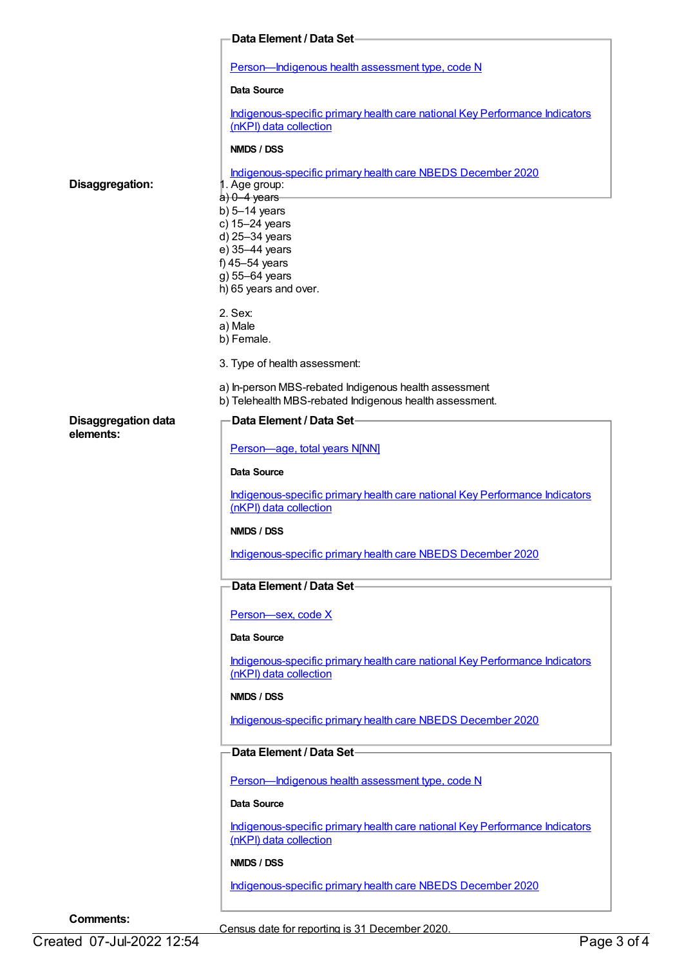|                                         | Data Element / Data Set-                                                                                         |
|-----------------------------------------|------------------------------------------------------------------------------------------------------------------|
|                                         | Person-Indigenous health assessment type, code N                                                                 |
|                                         | Data Source                                                                                                      |
|                                         | Indigenous-specific primary health care national Key Performance Indicators<br>(nKPI) data collection            |
|                                         | NMDS / DSS                                                                                                       |
|                                         |                                                                                                                  |
| Disaggregation:                         | Indigenous-specific primary health care NBEDS December 2020<br>1. Age group:                                     |
|                                         | $a) 0-4$ years<br>b) $5-14$ years                                                                                |
|                                         | c) 15-24 years                                                                                                   |
|                                         | d) 25-34 years                                                                                                   |
|                                         | e) 35-44 years                                                                                                   |
|                                         | f) $45-54$ years                                                                                                 |
|                                         | g) 55-64 years<br>h) 65 years and over.                                                                          |
|                                         | 2. Sex:                                                                                                          |
|                                         | a) Male                                                                                                          |
|                                         | b) Female.                                                                                                       |
|                                         | 3. Type of health assessment:                                                                                    |
|                                         | a) In-person MBS-rebated Indigenous health assessment<br>b) Telehealth MBS-rebated Indigenous health assessment. |
| <b>Disaggregation data</b><br>elements: | Data Element / Data Set-                                                                                         |
|                                         | Person-age, total years N[NN]                                                                                    |
|                                         | <b>Data Source</b>                                                                                               |
|                                         | Indigenous-specific primary health care national Key Performance Indicators<br>(nKPI) data collection            |
|                                         | NMDS / DSS                                                                                                       |
|                                         | Indigenous-specific primary health care NBEDS December 2020                                                      |
|                                         | Data Element / Data Set-                                                                                         |
|                                         | Person-sex, code X                                                                                               |
|                                         | Data Source                                                                                                      |
|                                         | Indigenous-specific primary health care national Key Performance Indicators<br>(nKPI) data collection            |
|                                         | NMDS / DSS                                                                                                       |
|                                         | Indigenous-specific primary health care NBEDS December 2020                                                      |
|                                         | Data Element / Data Set                                                                                          |
|                                         | Person-Indigenous health assessment type, code N                                                                 |
|                                         | Data Source                                                                                                      |
|                                         | Indigenous-specific primary health care national Key Performance Indicators<br>(nKPI) data collection            |
|                                         | NMDS / DSS                                                                                                       |
|                                         | Indigenous-specific primary health care NBEDS December 2020                                                      |
|                                         |                                                                                                                  |
| <b>Comments:</b>                        |                                                                                                                  |

Census date for reporting is 31 December 2020.